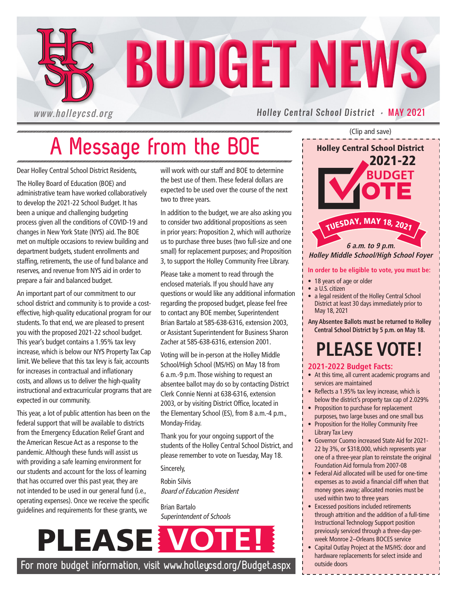

# **A Message from the BOE**

Dear Holley Central School District Residents,

The Holley Board of Education (BOE) and administrative team have worked collaboratively to develop the 2021-22 School Budget. It has been a unique and challenging budgeting process given all the conditions of COVID-19 and changes in New York State (NYS) aid. The BOE met on multiple occasions to review building and department budgets, student enrollments and staffing, retirements, the use of fund balance and reserves, and revenue from NYS aid in order to prepare a fair and balanced budget.

An important part of our commitment to our school district and community is to provide a costeffective, high-quality educational program for our students. To that end, we are pleased to present you with the proposed 2021-22 school budget. This year's budget contains a 1.95% tax levy increase, which is below our NYS Property Tax Cap limit. We believe that this tax levy is fair, accounts for increases in contractual and inflationary costs, and allows us to deliver the high-quality instructional and extracurricular programs that are expected in our community.

This year, a lot of public attention has been on the federal support that will be available to districts from the Emergency Education Relief Grant and the American Rescue Act as a response to the pandemic. Although these funds will assist us with providing a safe learning environment for our students and account for the loss of learning that has occurred over this past year, they are not intended to be used in our general fund (i.e., operating expenses). Once we receive the specific guidelines and requirements for these grants, we

will work with our staff and BOE to determine the best use of them. These federal dollars are expected to be used over the course of the next two to three years.

In addition to the budget, we are also asking you to consider two additional propositions as seen in prior years: Proposition 2, which will authorize us to purchase three buses (two full-size and one small) for replacement purposes; and Proposition 3, to support the Holley Community Free Library.

Please take a moment to read through the enclosed materials. If you should have any questions or would like any additional information regarding the proposed budget, please feel free to contact any BOE member, Superintendent Brian Bartalo at 585-638-6316, extension 2003, or Assistant Superintendent for Business Sharon Zacher at 585-638-6316, extension 2001.

Voting will be in-person at the Holley Middle School/High School (MS/HS) on May 18 from 6 a.m.-9 p.m. Those wishing to request an absentee ballot may do so by contacting District Clerk Connie Nenni at 638-6316, extension 2003, or by visiting District Office, located in the Elementary School (ES), from 8 a.m.-4 p.m., Monday-Friday.

Thank you for your ongoing support of the students of the Holley Central School District, and please remember to vote on Tuesday, May 18.

Sincerely,

Robin Silvis Board of Education President

Brian Bartalo Superintendent of Schools

# $PLEASE$

**For more budget information, visit www.holleycsd.org/Budget.aspx** 

(Clip and save)

**BUDGET** <sup>T</sup>UESDAY, <sup>M</sup>A<sup>Y</sup> <sup>1</sup>8, <sup>2</sup>02<sup>1</sup> 2021-22 Holley Central School District **6 a.m. to 9 p.m. Holley Middle School/High School Foyer**

### **In order to be eligible to vote, you must be:**

• 18 years of age or older

- a U.S. citizen
- a legal resident of the Holley Central School District at least 30 days immediately prior to May 18, 2021

**Any Absentee Ballots must be returned to Holley Central School District by 5 p.m. on May 18.**

# **PLEASE VOTE!**

### **2021-2022 Budget Facts:**

- At this time, all current academic programs and services are maintained
- Reflects a 1.95% tax levy increase, which is below the district's property tax cap of 2.029%
- Proposition to purchase for replacement purposes, two large buses and one small bus
- Proposition for the Holley Community Free Library Tax Levy
- Governor Cuomo increased State Aid for 2021- 22 by 3%, or \$318,000, which represents year one of a three-year plan to reinstate the original Foundation Aid formula from 2007-08
- Federal Aid allocated will be used for one-time expenses as to avoid a financial cliff when that money goes away; allocated monies must be used within two to three years
- Excessed positions included retirements through attrition and the addition of a full-time Instructional Technology Support position previously serviced through a three-day-perweek Monroe 2–Orleans BOCES service
- Capital Outlay Project at the MS/HS: door and hardware replacements for select inside and outside doors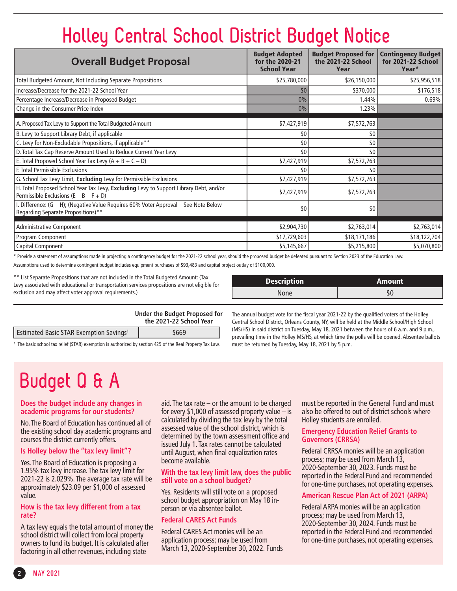# **Holley Central School District Budget Notice**

| <b>Overall Budget Proposal</b>                                                                                                     | <b>Budget Adopted</b><br>for the 2020-21<br><b>School Year</b> | <b>Budget Proposed for</b><br>the 2021-22 School<br>Year | <b>Contingency Budget</b><br>for 2021-22 School<br>Year* |
|------------------------------------------------------------------------------------------------------------------------------------|----------------------------------------------------------------|----------------------------------------------------------|----------------------------------------------------------|
| Total Budgeted Amount, Not Including Separate Propositions                                                                         | \$25,780,000                                                   | \$26,150,000                                             | \$25,956,518                                             |
| Increase/Decrease for the 2021-22 School Year                                                                                      | \$0                                                            | \$370,000                                                | \$176,518                                                |
| Percentage Increase/Decrease in Proposed Budget                                                                                    | 0%                                                             | 1.44%                                                    | 0.69%                                                    |
| Change in the Consumer Price Index                                                                                                 | 0%                                                             | 1.23%                                                    |                                                          |
| A. Proposed Tax Levy to Support the Total Budgeted Amount                                                                          | \$7,427,919                                                    | \$7,572,763                                              |                                                          |
| B. Levy to Support Library Debt, if applicable                                                                                     | \$0                                                            | \$0                                                      |                                                          |
| C. Levy for Non-Excludable Propositions, if applicable**                                                                           | \$0                                                            | \$0                                                      |                                                          |
| D. Total Tax Cap Reserve Amount Used to Reduce Current Year Levy                                                                   | \$0                                                            | \$0                                                      |                                                          |
| E. Total Proposed School Year Tax Levy $(A + B + C - D)$                                                                           | \$7,427,919                                                    | \$7,572,763                                              |                                                          |
| F. Total Permissible Exclusions                                                                                                    | \$0                                                            | \$0                                                      |                                                          |
| G. School Tax Levy Limit, Excluding Levy for Permissible Exclusions                                                                | \$7,427,919                                                    | \$7,572,763                                              |                                                          |
| H. Total Proposed School Year Tax Levy, Excluding Levy to Support Library Debt, and/or<br>Permissible Exclusions $(E - B - F + D)$ | \$7,427,919                                                    | \$7,572,763                                              |                                                          |
| Difference: (G - H); (Negative Value Requires 60% Voter Approval - See Note Below<br>Regarding Separate Propositions)**            | \$0                                                            | \$0                                                      |                                                          |
| <b>Administrative Component</b>                                                                                                    | \$2,904,730                                                    | \$2,763,014                                              | \$2,763,014                                              |
| Program Component                                                                                                                  | \$17,729,603                                                   | \$18,171,186                                             | \$18,122,704                                             |
| Capital Component                                                                                                                  | \$5,145,667                                                    | \$5,215,800                                              | \$5,070,800                                              |

\* Provide a statement of assumptions made in projecting a contingency budget for the 2021-22 school year, should the proposed budget be defeated pursuant to Section 2023 of the Education Law. Assumptions used to determine contingent budget includes equipment purchases of \$93,483 and capital project outlay of \$100,000.

\*\* List Separate Propositions that are not included in the Total Budgeted Amount: (Tax Levy associated with educational or transportation services propositions are not eligible for exclusion and may affect voter approval requirements.)

| Description | <b>Amount</b> |
|-------------|---------------|
| None        |               |

|                                                           | Under the Budget Proposed for<br>the 2021-22 School Year |
|-----------------------------------------------------------|----------------------------------------------------------|
| <b>Estimated Basic STAR Exemption Savings<sup>1</sup></b> | \$669                                                    |

 $^{\rm +}$  The basic school tax relief (STAR) exemption is authorized by section 425 of the Real Property Tax Law.  $\quad \quad$  must be returned by Tuesday, May 18, 2021 by 5 p.m.

The annual budget vote for the fiscal year 2021-22 by the qualified voters of the Holley Central School District, Orleans County, NY, will be held at the Middle School/High School (MS/HS) in said district on Tuesday, May 18, 2021 between the hours of 6 a.m. and 9 p.m., prevailing time in the Holley MS/HS, at which time the polls will be opened. Absentee ballots

# **Budget Q & A**

#### **Does the budget include any changes in academic programs for our students?**

No. The Board of Education has continued all of the existing school day academic programs and courses the district currently offers.

### **Is Holley below the "tax levy limit"?**

Yes. The Board of Education is proposing a 1.95% tax levy increase. The tax levy limit for 2021-22 is 2.029%. The average tax rate will be approximately \$23.09 per \$1,000 of assessed value.

#### **How is the tax levy different from a tax rate?**

A tax levy equals the total amount of money the school district will collect from local property owners to fund its budget. It is calculated after factoring in all other revenues, including state

aid. The tax rate – or the amount to be charged for every \$1,000 of assessed property value – is calculated by dividing the tax levy by the total assessed value of the school district, which is determined by the town assessment office and issued July 1. Tax rates cannot be calculated until August, when final equalization rates become available.

### **With the tax levy limit law, does the public still vote on a school budget?**

Yes. Residents will still vote on a proposed school budget appropriation on May 18 inperson or via absentee ballot.

### **Federal CARES Act Funds**

Federal CARES Act monies will be an application process; may be used from March 13, 2020-September 30, 2022. Funds must be reported in the General Fund and must also be offered to out of district schools where Holley students are enrolled.

#### **Emergency Education Relief Grants to Governors (CRRSA)**

Federal CRRSA monies will be an application process; may be used from March 13, 2020-September 30, 2023. Funds must be reported in the Federal Fund and recommended for one-time purchases, not operating expenses.

### **American Rescue Plan Act of 2021 (ARPA)**

Federal ARPA monies will be an application process; may be used from March 13, 2020-September 30, 2024. Funds must be reported in the Federal Fund and recommended for one-time purchases, not operating expenses.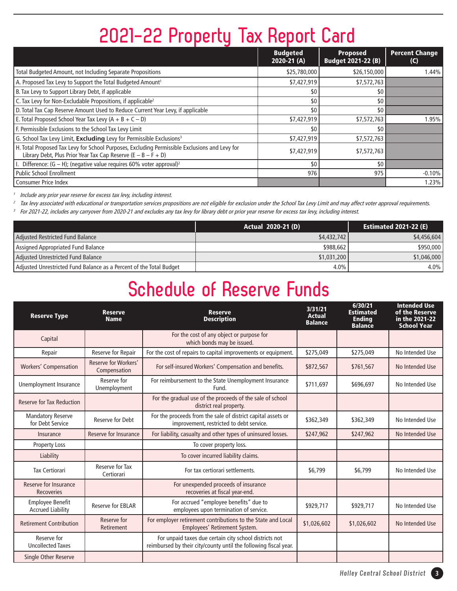# **2021-22 Property Tax Report Card**

|                                                                                                                                                                  | <b>Budgeted</b><br>2020-21 (A) | <b>Proposed</b><br><b>Budget 2021-22 (B)</b> | <b>Percent Change</b><br>(C) |
|------------------------------------------------------------------------------------------------------------------------------------------------------------------|--------------------------------|----------------------------------------------|------------------------------|
| Total Budgeted Amount, not Including Separate Propositions                                                                                                       | \$25,780,000                   | \$26,150,000                                 | 1.44%                        |
| A. Proposed Tax Levy to Support the Total Budgeted Amount <sup>1</sup>                                                                                           | \$7,427,919                    | \$7,572,763                                  |                              |
| B. Tax Levy to Support Library Debt, if applicable                                                                                                               | \$0                            | \$0                                          |                              |
| C. Tax Levy for Non-Excludable Propositions, if applicable <sup>2</sup>                                                                                          | \$0                            | 50 <sup>1</sup>                              |                              |
| D. Total Tax Cap Reserve Amount Used to Reduce Current Year Levy, if applicable                                                                                  | \$0                            | 50 <sup>1</sup>                              |                              |
| E. Total Proposed School Year Tax Levy $(A + B + C - D)$                                                                                                         | \$7,427,919                    | \$7,572,763                                  | 1.95%                        |
| F. Permissible Exclusions to the School Tax Levy Limit                                                                                                           | \$0                            | 50 <sup>1</sup>                              |                              |
| G. School Tax Levy Limit, Excluding Levy for Permissible Exclusions <sup>3</sup>                                                                                 | \$7,427,919                    | \$7,572,763                                  |                              |
| H. Total Proposed Tax Levy for School Purposes, Excluding Permissible Exclusions and Levy for<br>Library Debt, Plus Prior Year Tax Cap Reserve $(E - B - F + D)$ | \$7,427,919                    | \$7,572,763                                  |                              |
| Difference: $(G - H)$ ; (negative value requires 60% voter approval) <sup>2</sup>                                                                                | \$0                            | 50 <sup>1</sup>                              |                              |
| l Public School Enrollment                                                                                                                                       | 976                            | 975                                          | $-0.10%$                     |
| l Consumer Price Index                                                                                                                                           |                                |                                              | 1.23%                        |

Include any prior year reserve for excess tax levy, including interest.

Tax levy associated with educational or transportation services propositions are not eligible for exclusion under the School Tax Levy Limit and may affect voter approval requirements.

<sup>3</sup> For 2021-22, includes any carryover from 2020-21 and excludes any tax levy for library debt or prior year reserve for excess tax levy, including interest.

|                                                                     | <b>Actual 2020-21 (D)</b> | <b>Estimated 2021-22 (E)</b> |
|---------------------------------------------------------------------|---------------------------|------------------------------|
| Adjusted Restricted Fund Balance                                    | \$4,432,742               | \$4,456,604                  |
| Assigned Appropriated Fund Balance                                  | \$988,662                 | \$950,000                    |
| Adjusted Unrestricted Fund Balance                                  | \$1,031,200               | \$1,046,000                  |
| Adjusted Unrestricted Fund Balance as a Percent of the Total Budget | 4.0%                      | $4.0\%$                      |

### **Schedule of Reserve Funds**

| <b>Reserve Type</b>                                 | <b>Reserve</b><br><b>Name</b>        | <b>Reserve</b><br><b>Description</b>                                                                                       | 3/31/21<br><b>Actual</b><br><b>Balance</b> | 6/30/21<br><b>Estimated</b><br><b>Ending</b><br><b>Balance</b> | <b>Intended Use</b><br>of the Reserve<br>in the 2021-22<br><b>School Year</b> |
|-----------------------------------------------------|--------------------------------------|----------------------------------------------------------------------------------------------------------------------------|--------------------------------------------|----------------------------------------------------------------|-------------------------------------------------------------------------------|
| Capital                                             |                                      | For the cost of any object or purpose for<br>which bonds may be issued.                                                    |                                            |                                                                |                                                                               |
| Repair                                              | Reserve for Repair                   | For the cost of repairs to capital improvements or equipment.                                                              | \$275,049                                  | \$275,049                                                      | No Intended Use                                                               |
| <b>Workers' Compensation</b>                        | Reserve for Workers'<br>Compensation | For self-insured Workers' Compensation and benefits.                                                                       | \$872,567                                  | \$761,567                                                      | No Intended Use                                                               |
| Unemployment Insurance                              | Reserve for<br>Unemployment          | For reimbursement to the State Unemployment Insurance<br>Fund.                                                             | \$711.697                                  | \$696,697                                                      | No Intended Use                                                               |
| <b>Reserve for Tax Reduction</b>                    |                                      | For the gradual use of the proceeds of the sale of school<br>district real property.                                       |                                            |                                                                |                                                                               |
| <b>Mandatory Reserve</b><br>for Debt Service        | <b>Reserve for Debt</b>              | For the proceeds from the sale of district capital assets or<br>improvement, restricted to debt service.                   | \$362,349                                  | \$362,349                                                      | No Intended Use                                                               |
| Insurance                                           | Reserve for Insurance                | For liability, casualty and other types of uninsured losses.                                                               | \$247,962                                  | \$247,962                                                      | No Intended Use                                                               |
| <b>Property Loss</b>                                |                                      | To cover property loss.                                                                                                    |                                            |                                                                |                                                                               |
| Liability                                           |                                      | To cover incurred liability claims.                                                                                        |                                            |                                                                |                                                                               |
| <b>Tax Certiorari</b>                               | Reserve for Tax<br>Certiorari        | For tax certiorari settlements.                                                                                            | \$6,799                                    | \$6,799                                                        | No Intended Use                                                               |
| Reserve for Insurance<br><b>Recoveries</b>          |                                      | For unexpended proceeds of insurance<br>recoveries at fiscal year-end.                                                     |                                            |                                                                |                                                                               |
| <b>Employee Benefit</b><br><b>Accrued Liability</b> | <b>Reserve for EBLAR</b>             | For accrued "employee benefits" due to<br>employees upon termination of service.                                           | \$929,717                                  | \$929,717                                                      | No Intended Use                                                               |
| <b>Retirement Contribution</b>                      | Reserve for<br>Retirement            | For employer retirement contributions to the State and Local<br>Employees' Retirement System.                              | \$1,026,602                                | \$1,026,602                                                    | No Intended Use                                                               |
| Reserve for<br><b>Uncollected Taxes</b>             |                                      | For unpaid taxes due certain city school districts not<br>reimbursed by their city/county until the following fiscal year. |                                            |                                                                |                                                                               |
| Single Other Reserve                                |                                      |                                                                                                                            |                                            |                                                                |                                                                               |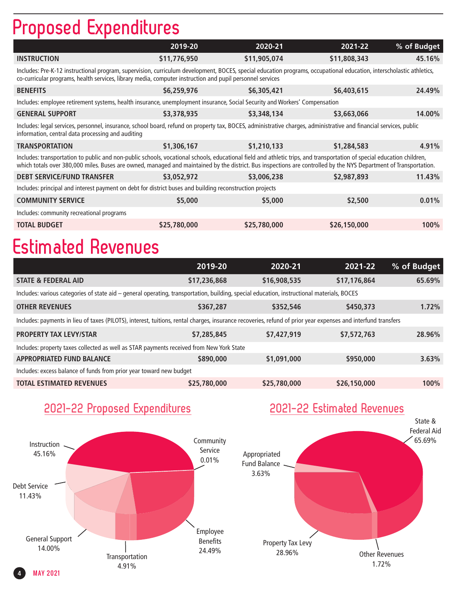# **Proposed Expenditures**

| 2019-20                                                                                                                                                                                                                                                                                                                                     | 2020-21      | 2021-22      | % of Budget |  |  |  |  |
|---------------------------------------------------------------------------------------------------------------------------------------------------------------------------------------------------------------------------------------------------------------------------------------------------------------------------------------------|--------------|--------------|-------------|--|--|--|--|
| \$11,776,950                                                                                                                                                                                                                                                                                                                                | \$11,905,074 | \$11,808,343 | 45.16%      |  |  |  |  |
| Includes: Pre-K-12 instructional program, supervision, curriculum development, BOCES, special education programs, occupational education, interscholastic athletics,<br>co-curricular programs, health services, library media, computer instruction and pupil personnel services                                                           |              |              |             |  |  |  |  |
| \$6,259,976                                                                                                                                                                                                                                                                                                                                 | \$6,305,421  | \$6,403,615  | 24.49%      |  |  |  |  |
| Includes: employee retirement systems, health insurance, unemployment insurance, Social Security and Workers' Compensation                                                                                                                                                                                                                  |              |              |             |  |  |  |  |
| \$3,378,935                                                                                                                                                                                                                                                                                                                                 | \$3,348,134  | \$3,663,066  | 14.00%      |  |  |  |  |
| Includes: legal services, personnel, insurance, school board, refund on property tax, BOCES, administrative charges, administrative and financial services, public<br>information, central data processing and auditing                                                                                                                     |              |              |             |  |  |  |  |
| \$1,306,167                                                                                                                                                                                                                                                                                                                                 | \$1,210,133  | \$1,284,583  | 4.91%       |  |  |  |  |
| Includes: transportation to public and non-public schools, vocational schools, educational field and athletic trips, and transportation of special education children,<br>which totals over 380,000 miles. Buses are owned, managed and maintained by the district. Bus inspections are controlled by the NYS Department of Transportation. |              |              |             |  |  |  |  |
| \$3,052,972                                                                                                                                                                                                                                                                                                                                 | \$3,006,238  | \$2,987,893  | 11.43%      |  |  |  |  |
| Includes: principal and interest payment on debt for district buses and building reconstruction projects                                                                                                                                                                                                                                    |              |              |             |  |  |  |  |
| \$5,000                                                                                                                                                                                                                                                                                                                                     | \$5,000      | \$2,500      | 0.01%       |  |  |  |  |
| Includes: community recreational programs                                                                                                                                                                                                                                                                                                   |              |              |             |  |  |  |  |
| \$25,780,000                                                                                                                                                                                                                                                                                                                                | \$25,780,000 | \$26,150,000 | <b>100%</b> |  |  |  |  |
|                                                                                                                                                                                                                                                                                                                                             |              |              |             |  |  |  |  |

# **Estimated Revenues**

|                                                                                                                                                               | 2019-20      | 2020-21      | 2021-22      | % of Budget |  |  |
|---------------------------------------------------------------------------------------------------------------------------------------------------------------|--------------|--------------|--------------|-------------|--|--|
| <b>STATE &amp; FEDERAL AID</b>                                                                                                                                | \$17,236,868 | \$16,908,535 | \$17,176,864 | 65.69%      |  |  |
| Includes: various categories of state aid - general operating, transportation, building, special education, instructional materials, BOCES                    |              |              |              |             |  |  |
| <b>OTHER REVENUES</b>                                                                                                                                         | \$367,287    | \$352,546    | \$450,373    | 1.72%       |  |  |
| Includes: payments in lieu of taxes (PILOTS), interest, tuitions, rental charges, insurance recoveries, refund of prior year expenses and interfund transfers |              |              |              |             |  |  |
| <b>PROPERTY TAX LEVY/STAR</b>                                                                                                                                 | \$7,285,845  | \$7,427,919  | \$7,572,763  | 28.96%      |  |  |
| Includes: property taxes collected as well as STAR payments received from New York State                                                                      |              |              |              |             |  |  |
| <b>APPROPRIATED FUND BALANCE</b>                                                                                                                              | \$890,000    | \$1,091,000  | \$950,000    | 3.63%       |  |  |
| Includes: excess balance of funds from prior year toward new budget                                                                                           |              |              |              |             |  |  |
| <b>TOTAL ESTIMATED REVENUES</b>                                                                                                                               | \$25,780,000 | \$25,780,000 | \$26,150,000 | 100%        |  |  |
|                                                                                                                                                               |              |              |              |             |  |  |

### **2021-22 Proposed Expenditures**



### **2021-22 Estimated Revenues**

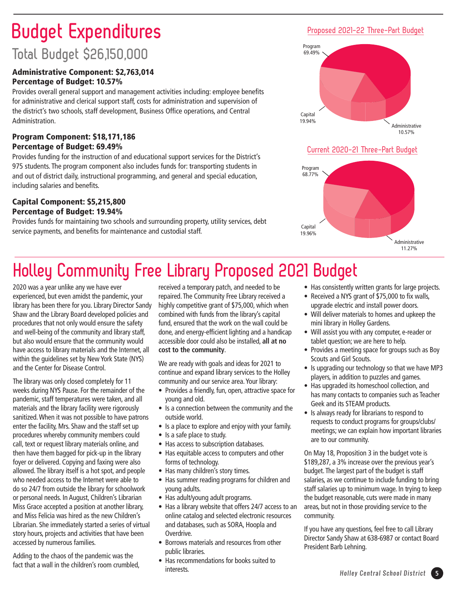# **Budget Expenditures**

### **Total Budget \$26,150,000**

### Administrative Component: \$2,763,014 Percentage of Budget: 10.57%

Provides overall general support and management activities including: employee benefits for administrative and clerical support staff, costs for administration and supervision of the district's two schools, staff development, Business Office operations, and Central Administration.

### Program Component: \$18,171,186 Percentage of Budget: 69.49%

Provides funding for the instruction of and educational support services for the District's 975 students. The program component also includes funds for: transporting students in and out of district daily, instructional programming, and general and special education, including salaries and benefits.

### Capital Component: \$5,215,800 Percentage of Budget: 19.94%

Provides funds for maintaining two schools and surrounding property, utility services, debt service payments, and benefits for maintenance and custodial staff.

### **Proposed 2021-22 Three-Part Budget**



### **Current 2020-21 Three-Part Budget**



## **Holley Community Free Library Proposed 2021 Budget**

2020 was a year unlike any we have ever experienced, but even amidst the pandemic, your library has been there for you. Library Director Sandy Shaw and the Library Board developed policies and procedures that not only would ensure the safety and well-being of the community and library staff, but also would ensure that the community would have access to library materials and the Internet, all within the guidelines set by New York State (NYS) and the Center for Disease Control.

The library was only closed completely for 11 weeks during NYS Pause. For the remainder of the pandemic, staff temperatures were taken, and all materials and the library facility were rigorously sanitized. When it was not possible to have patrons enter the facility, Mrs. Shaw and the staff set up procedures whereby community members could call, text or request library materials online, and then have them bagged for pick-up in the library foyer or delivered. Copying and faxing were also allowed. The library itself is a hot spot, and people who needed access to the Internet were able to do so 24/7 from outside the library for schoolwork or personal needs. In August, Children's Librarian Miss Grace accepted a position at another library, and Miss Felicia was hired as the new Children's Librarian. She immediately started a series of virtual story hours, projects and activities that have been accessed by numerous families.

Adding to the chaos of the pandemic was the fact that a wall in the children's room crumbled,

received a temporary patch, and needed to be repaired. The Community Free Library received a highly competitive grant of \$75,000, which when combined with funds from the library's capital fund, ensured that the work on the wall could be done, and energy-efficient lighting and a handicap accessible door could also be installed, **all at no cost to the community**.

We are ready with goals and ideas for 2021 to continue and expand library services to the Holley community and our service area. Your library:

- Provides a friendly, fun, open, attractive space for young and old.
- Is a connection between the community and the outside world.
- Is a place to explore and enjoy with your family.
- Is a safe place to study.
- Has access to subscription databases.
- Has equitable access to computers and other forms of technology.
- Has many children's story times.
- Has summer reading programs for children and young adults.
- Has adult/young adult programs.
- Has a library website that offers 24/7 access to an online catalog and selected electronic resources and databases, such as SORA, Hoopla and Overdrive.
- Borrows materials and resources from other public libraries.
- Has recommendations for books suited to interests.
- Has consistently written grants for large projects.
- Received a NYS grant of \$75,000 to fix walls, upgrade electric and install power doors.
- Will deliver materials to homes and upkeep the mini library in Holley Gardens.
- Will assist you with any computer, e-reader or tablet question; we are here to help.
- Provides a meeting space for groups such as Boy Scouts and Girl Scouts.
- Is upgrading our technology so that we have MP3 players, in addition to puzzles and games.
- Has upgraded its homeschool collection, and has many contacts to companies such as Teacher Geek and its STEAM products.
- Is always ready for librarians to respond to requests to conduct programs for groups/clubs/ meetings; we can explain how important libraries are to our community.

On May 18, Proposition 3 in the budget vote is \$189,287, a 3% increase over the previous year's budget. The largest part of the budget is staff salaries, as we continue to include funding to bring staff salaries up to minimum wage. In trying to keep the budget reasonable, cuts were made in many areas, but not in those providing service to the community.

If you have any questions, feel free to call Library Director Sandy Shaw at 638-6987 or contact Board President Barb Lehning.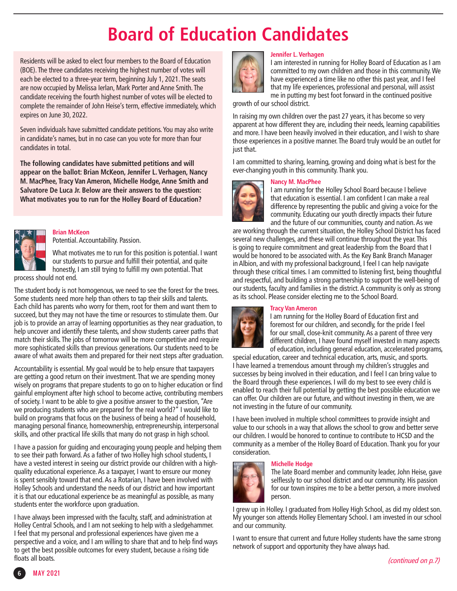# **Board of Education Candidates**

Residents will be asked to elect four members to the Board of Education (BOE). The three candidates receiving the highest number of votes will each be elected to a three-year term, beginning July 1, 2021. The seats are now occupied by Melissa Ierlan, Mark Porter and Anne Smith. The candidate receiving the fourth highest number of votes will be elected to complete the remainder of John Heise's term, effective immediately, which expires on June 30, 2022.

Seven individuals have submitted candidate petitions. You may also write in candidate's names, but in no case can you vote for more than four candidates in total.

**The following candidates have submitted petitions and will appear on the ballot: Brian McKeon, Jennifer L. Verhagen, Nancy M. MacPhee, Tracy Van Ameron, Michelle Hodge, Anne Smith and Salvatore De Luca Jr. Below are their answers to the question: What motivates you to run for the Holley Board of Education?** 



#### **Brian McKeon** Potential. Accountability. Passion.

What motivates me to run for this position is potential. I want

our students to pursue and fulfill their potential, and quite honestly, I am still trying to fulfill my own potential. That process should not end.

The student body is not homogenous, we need to see the forest for the trees. Some students need more help than others to tap their skills and talents. Each child has parents who worry for them, root for them and want them to succeed, but they may not have the time or resources to stimulate them. Our job is to provide an array of learning opportunities as they near graduation, to help uncover and identify these talents, and show students career paths that match their skills. The jobs of tomorrow will be more competitive and require more sophisticated skills than previous generations. Our students need to be aware of what awaits them and prepared for their next steps after graduation.

Accountability is essential. My goal would be to help ensure that taxpayers are getting a good return on their investment. That we are spending money wisely on programs that prepare students to go on to higher education or find gainful employment after high school to become active, contributing members of society. I want to be able to give a positive answer to the question, "Are we producing students who are prepared for the real world?" I would like to build on programs that focus on the business of being a head of household, managing personal finance, homeownership, entrepreneurship, interpersonal skills, and other practical life skills that many do not grasp in high school.

I have a passion for guiding and encouraging young people and helping them to see their path forward. As a father of two Holley high school students, I have a vested interest in seeing our district provide our children with a highquality educational experience. As a taxpayer, I want to ensure our money is spent sensibly toward that end. As a Rotarian, I have been involved with Holley Schools and understand the needs of our district and how important it is that our educational experience be as meaningful as possible, as many students enter the workforce upon graduation.

I have always been impressed with the faculty, staff, and administration at Holley Central Schools, and I am not seeking to help with a sledgehammer. I feel that my personal and professional experiences have given me a perspective and a voice, and I am willing to share that and to help find ways to get the best possible outcomes for every student, because a rising tide floats all boats.



### **Jennifer L. Verhagen**

I am interested in running for Holley Board of Education as I am committed to my own children and those in this community. We have experienced a time like no other this past year, and I feel that my life experiences, professional and personal, will assist me in putting my best foot forward in the continued positive

growth of our school district.

In raising my own children over the past 27 years, it has become so very apparent at how different they are, including their needs, learning capabilities and more. I have been heavily involved in their education, and I wish to share those experiences in a positive manner. The Board truly would be an outlet for just that.

I am committed to sharing, learning, growing and doing what is best for the ever-changing youth in this community. Thank you.

### **Nancy M. MacPhee**



I am running for the Holley School Board because I believe that education is essential. I am confident I can make a real difference by representing the public and giving a voice for the community. Educating our youth directly impacts their future and the future of our communities, county and nation. As we

are working through the current situation, the Holley School District has faced several new challenges, and these will continue throughout the year. This is going to require commitment and great leadership from the Board that I would be honored to be associated with. As the Key Bank Branch Manager in Albion, and with my professional background, I feel I can help navigate through these critical times. I am committed to listening first, being thoughtful and respectful, and building a strong partnership to support the well-being of our students, faculty and families in the district. A community is only as strong as its school. Please consider electing me to the School Board.

### **Tracy Van Ameron**



I am running for the Holley Board of Education first and foremost for our children, and secondly, for the pride I feel for our small, close-knit community. As a parent of three very different children, I have found myself invested in many aspects of education, including general education, accelerated programs,

special education, career and technical education, arts, music, and sports. I have learned a tremendous amount through my children's struggles and successes by being involved in their education, and I feel I can bring value to the Board through these experiences. I will do my best to see every child is enabled to reach their full potential by getting the best possible education we can offer. Our children are our future, and without investing in them, we are not investing in the future of our community.

I have been involved in multiple school committees to provide insight and value to our schools in a way that allows the school to grow and better serve our children. I would be honored to continue to contribute to HCSD and the community as a member of the Holley Board of Education. Thank you for your consideration.

### **Michelle Hodge**



The late Board member and community leader, John Heise, gave selflessly to our school district and our community. His passion for our town inspires me to be a better person, a more involved person.

I grew up in Holley. I graduated from Holley High School, as did my oldest son. My younger son attends Holley Elementary School. I am invested in our school and our community.

I want to ensure that current and future Holley students have the same strong network of support and opportunity they have always had.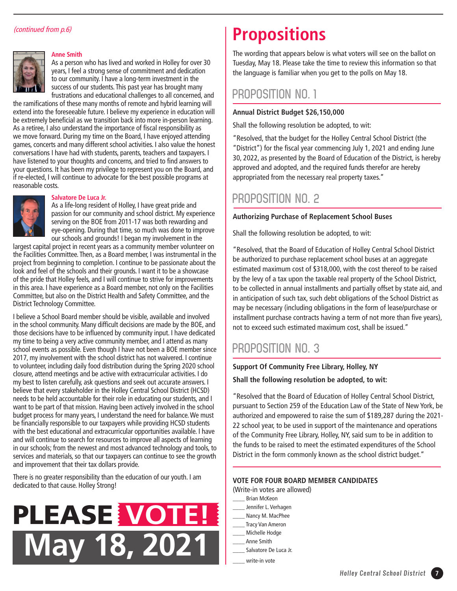### (continued from p.6)



#### **Anne Smith**

As a person who has lived and worked in Holley for over 30 years, I feel a strong sense of commitment and dedication to our community. I have a long-term investment in the success of our students. This past year has brought many frustrations and educational challenges to all concerned, and

the ramifications of these many months of remote and hybrid learning will extend into the foreseeable future. I believe my experience in education will be extremely beneficial as we transition back into more in-person learning. As a retiree, I also understand the importance of fiscal responsibility as we move forward. During my time on the Board, I have enjoyed attending games, concerts and many different school activities. I also value the honest conversations I have had with students, parents, teachers and taxpayers. I have listened to your thoughts and concerns, and tried to find answers to your questions. It has been my privilege to represent you on the Board, and if re-elected, I will continue to advocate for the best possible programs at reasonable costs.



#### **Salvatore De Luca Jr.**

As a life-long resident of Holley, I have great pride and passion for our community and school district. My experience serving on the BOE from 2011-17 was both rewarding and eye-opening. During that time, so much was done to improve our schools and grounds! I began my involvement in the

largest capital project in recent years as a community member volunteer on the Facilities Committee. Then, as a Board member, I was instrumental in the project from beginning to completion. I continue to be passionate about the look and feel of the schools and their grounds. I want it to be a showcase of the pride that Holley feels, and I will continue to strive for improvements in this area. I have experience as a Board member, not only on the Facilities Committee, but also on the District Health and Safety Committee, and the District Technology Committee.

I believe a School Board member should be visible, available and involved in the school community. Many difficult decisions are made by the BOE, and those decisions have to be influenced by community input. I have dedicated my time to being a very active community member, and I attend as many school events as possible. Even though I have not been a BOE member since 2017, my involvement with the school district has not waivered. I continue to volunteer, including daily food distribution during the Spring 2020 school closure, attend meetings and be active with extracurricular activities. I do my best to listen carefully, ask questions and seek out accurate answers. I believe that every stakeholder in the Holley Central School District (HCSD) needs to be held accountable for their role in educating our students, and I want to be part of that mission. Having been actively involved in the school budget process for many years, I understand the need for balance. We must be financially responsible to our taxpayers while providing HCSD students with the best educational and extracurricular opportunities available. I have and will continue to search for resources to improve all aspects of learning in our schools; from the newest and most advanced technology and tools, to services and materials, so that our taxpayers can continue to see the growth and improvement that their tax dollars provide.

There is no greater responsibility than the education of our youth. I am dedicated to that cause. Holley Strong!



### **Propositions**

The wording that appears below is what voters will see on the ballot on Tuesday, May 18. Please take the time to review this information so that the language is familiar when you get to the polls on May 18.

### **PROPOSITION NO. 1**

#### **Annual District Budget \$26,150,000**

Shall the following resolution be adopted, to wit:

"Resolved, that the budget for the Holley Central School District (the "District") for the fiscal year commencing July 1, 2021 and ending June 30, 2022, as presented by the Board of Education of the District, is hereby approved and adopted, and the required funds therefor are hereby appropriated from the necessary real property taxes."

### **PROPOSITION NO. 2**

#### **Authorizing Purchase of Replacement School Buses**

Shall the following resolution be adopted, to wit:

"Resolved, that the Board of Education of Holley Central School District be authorized to purchase replacement school buses at an aggregate estimated maximum cost of \$318,000, with the cost thereof to be raised by the levy of a tax upon the taxable real property of the School District, to be collected in annual installments and partially offset by state aid, and in anticipation of such tax, such debt obligations of the School District as may be necessary (including obligations in the form of lease/purchase or installment purchase contracts having a term of not more than five years), not to exceed such estimated maximum cost, shall be issued."

### **PROPOSITION NO. 3**

**Support Of Community Free Library, Holley, NY** 

**Shall the following resolution be adopted, to wit:** 

"Resolved that the Board of Education of Holley Central School District, pursuant to Section 259 of the Education Law of the State of New York, be authorized and empowered to raise the sum of \$189,287 during the 2021- 22 school year, to be used in support of the maintenance and operations of the Community Free Library, Holley, NY, said sum to be in addition to the funds to be raised to meet the estimated expenditures of the School District in the form commonly known as the school district budget."

### **VOTE FOR FOUR BOARD MEMBER CANDIDATES**

- (Write-in votes are allowed)
- \_\_\_\_ Brian McKeon
- \_\_\_\_ Jennifer L. Verhagen
- Nancy M. MacPhee
- \_\_\_\_ Tracy Van Ameron \_\_\_\_ Michelle Hodge
- \_\_\_\_ Anne Smith
- Salvatore De Luca Jr.
- write-in vote